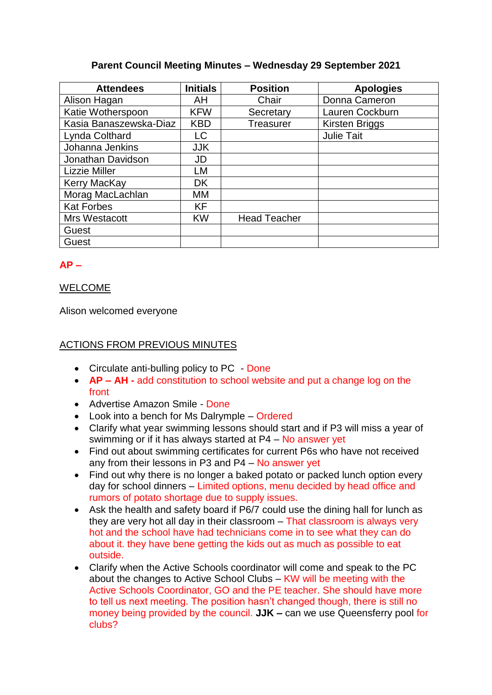# **Parent Council Meeting Minutes – Wednesday 29 September 2021**

| <b>Attendees</b>       | <b>Initials</b> | <b>Position</b>     | <b>Apologies</b>      |
|------------------------|-----------------|---------------------|-----------------------|
| Alison Hagan           | AH              | Chair               | Donna Cameron         |
| Katie Wotherspoon      | <b>KFW</b>      | Secretary           | Lauren Cockburn       |
| Kasia Banaszewska-Diaz | <b>KBD</b>      | <b>Treasurer</b>    | <b>Kirsten Briggs</b> |
| Lynda Colthard         | LC              |                     | <b>Julie Tait</b>     |
| Johanna Jenkins        | <b>JJK</b>      |                     |                       |
| Jonathan Davidson      | JD              |                     |                       |
| <b>Lizzie Miller</b>   | LM              |                     |                       |
| Kerry MacKay           | <b>DK</b>       |                     |                       |
| Morag MacLachlan       | MМ              |                     |                       |
| <b>Kat Forbes</b>      | KF              |                     |                       |
| Mrs Westacott          | <b>KW</b>       | <b>Head Teacher</b> |                       |
| Guest                  |                 |                     |                       |
| Guest                  |                 |                     |                       |

# **AP –**

## WELCOME

Alison welcomed everyone

# ACTIONS FROM PREVIOUS MINUTES

- Circulate anti-bulling policy to PC Done
- **AP – AH -** add constitution to school website and put a change log on the front
- Advertise Amazon Smile Done
- Look into a bench for Ms Dalrymple Ordered
- Clarify what year swimming lessons should start and if P3 will miss a year of swimming or if it has always started at  $P4 - No$  answer yet
- Find out about swimming certificates for current P6s who have not received any from their lessons in P3 and P4 – No answer yet
- Find out why there is no longer a baked potato or packed lunch option every day for school dinners – Limited options, menu decided by head office and rumors of potato shortage due to supply issues.
- Ask the health and safety board if P6/7 could use the dining hall for lunch as they are very hot all day in their classroom – That classroom is always very hot and the school have had technicians come in to see what they can do about it. they have bene getting the kids out as much as possible to eat outside.
- Clarify when the Active Schools coordinator will come and speak to the PC about the changes to Active School Clubs – KW will be meeting with the Active Schools Coordinator, GO and the PE teacher. She should have more to tell us next meeting. The position hasn't changed though, there is still no money being provided by the council. **JJK –** can we use Queensferry pool for clubs?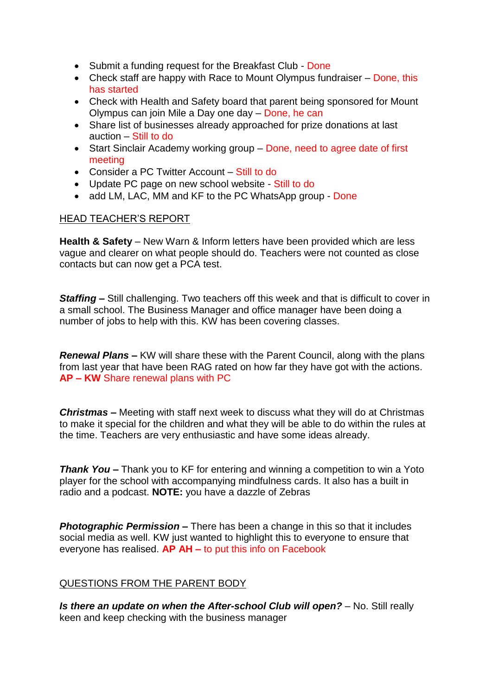- Submit a funding request for the Breakfast Club Done
- Check staff are happy with Race to Mount Olympus fundraiser Done, this has started
- Check with Health and Safety board that parent being sponsored for Mount Olympus can join Mile a Day one day – Done, he can
- Share list of businesses already approached for prize donations at last auction – Still to do
- Start Sinclair Academy working group Done, need to agree date of first meeting
- Consider a PC Twitter Account Still to do
- Update PC page on new school website Still to do
- add LM, LAC, MM and KF to the PC WhatsApp group Done

## HEAD TEACHER'S REPORT

**Health & Safety** – New Warn & Inform letters have been provided which are less vague and clearer on what people should do. Teachers were not counted as close contacts but can now get a PCA test.

**Staffing** – Still challenging. Two teachers off this week and that is difficult to cover in a small school. The Business Manager and office manager have been doing a number of jobs to help with this. KW has been covering classes.

*Renewal Plans –* KW will share these with the Parent Council, along with the plans from last year that have been RAG rated on how far they have got with the actions. **AP – KW** Share renewal plans with PC

*Christmas –* Meeting with staff next week to discuss what they will do at Christmas to make it special for the children and what they will be able to do within the rules at the time. Teachers are very enthusiastic and have some ideas already.

*Thank You –* Thank you to KF for entering and winning a competition to win a Yoto player for the school with accompanying mindfulness cards. It also has a built in radio and a podcast. **NOTE:** you have a dazzle of Zebras

**Photographic Permission** – There has been a change in this so that it includes social media as well. KW just wanted to highlight this to everyone to ensure that everyone has realised. **AP AH –** to put this info on Facebook

# QUESTIONS FROM THE PARENT BODY

*Is there an update on when the After-school Club will open?* – No. Still really keen and keep checking with the business manager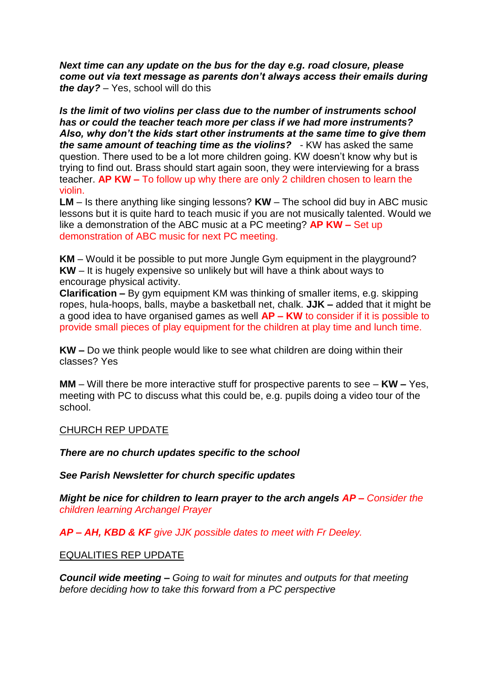*Next time can any update on the bus for the day e.g. road closure, please come out via text message as parents don't always access their emails during the day?* – Yes, school will do this

*Is the limit of two violins per class due to the number of instruments school has or could the teacher teach more per class if we had more instruments? Also, why don't the kids start other instruments at the same time to give them the same amount of teaching time as the violins?* - KW has asked the same question. There used to be a lot more children going. KW doesn't know why but is trying to find out. Brass should start again soon, they were interviewing for a brass teacher. **AP KW –** To follow up why there are only 2 children chosen to learn the violin.

**LM** – Is there anything like singing lessons? **KW** – The school did buy in ABC music lessons but it is quite hard to teach music if you are not musically talented. Would we like a demonstration of the ABC music at a PC meeting? **AP KW –** Set up demonstration of ABC music for next PC meeting.

**KM** – Would it be possible to put more Jungle Gym equipment in the playground? **KW** – It is hugely expensive so unlikely but will have a think about ways to encourage physical activity.

**Clarification –** By gym equipment KM was thinking of smaller items, e.g. skipping ropes, hula-hoops, balls, maybe a basketball net, chalk. **JJK –** added that it might be a good idea to have organised games as well **AP – KW** to consider if it is possible to provide small pieces of play equipment for the children at play time and lunch time.

**KW –** Do we think people would like to see what children are doing within their classes? Yes

**MM** – Will there be more interactive stuff for prospective parents to see – **KW –** Yes, meeting with PC to discuss what this could be, e.g. pupils doing a video tour of the school.

#### CHURCH REP UPDATE

*There are no church updates specific to the school* 

*See Parish Newsletter for church specific updates*

*Might be nice for children to learn prayer to the arch angels AP – Consider the children learning Archangel Prayer* 

*AP – AH, KBD & KF give JJK possible dates to meet with Fr Deeley.*

EQUALITIES REP UPDATE

*Council wide meeting – Going to wait for minutes and outputs for that meeting before deciding how to take this forward from a PC perspective*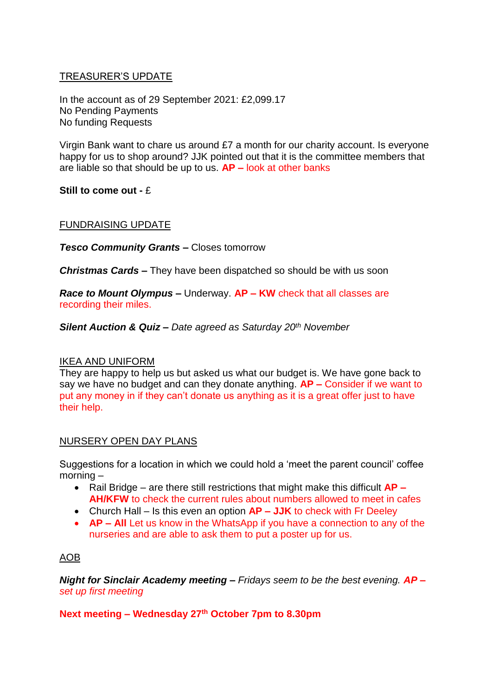# TREASURER'S UPDATE

In the account as of 29 September 2021: £2,099.17 No Pending Payments No funding Requests

Virgin Bank want to chare us around £7 a month for our charity account. Is everyone happy for us to shop around? JJK pointed out that it is the committee members that are liable so that should be up to us. **AP –** look at other banks

**Still to come out -** £

## FUNDRAISING UPDATE

*Tesco Community Grants –* Closes tomorrow

*Christmas Cards –* They have been dispatched so should be with us soon

*Race to Mount Olympus –* Underway. **AP – KW** check that all classes are recording their miles.

*Silent Auction & Quiz – Date agreed as Saturday 20th November* 

## IKEA AND UNIFORM

They are happy to help us but asked us what our budget is. We have gone back to say we have no budget and can they donate anything. **AP –** Consider if we want to put any money in if they can't donate us anything as it is a great offer just to have their help.

## NURSERY OPEN DAY PLANS

Suggestions for a location in which we could hold a 'meet the parent council' coffee morning –

- Rail Bridge are there still restrictions that might make this difficult **AP – AH/KFW** to check the current rules about numbers allowed to meet in cafes
- Church Hall Is this even an option **AP – JJK** to check with Fr Deeley
- **AP All** Let us know in the WhatsApp if you have a connection to any of the nurseries and are able to ask them to put a poster up for us.

# AOB

*Night for Sinclair Academy meeting – Fridays seem to be the best evening. AP – set up first meeting*

**Next meeting – Wednesday 27 th October 7pm to 8.30pm**